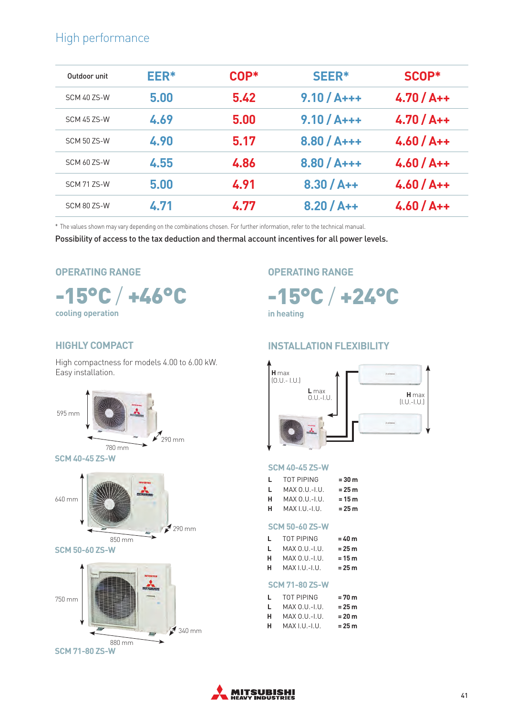### High performance

| Outdoor unit | EER* | $COP*$ | SEER*        | SCOP*        |  |
|--------------|------|--------|--------------|--------------|--|
| SCM 40 ZS-W  | 5.00 | 5.42   | $9.10 / A++$ | $4.70 / At+$ |  |
| SCM 45 ZS-W  | 4.69 | 5.00   | $9.10/A++$   | $4.70 / At+$ |  |
| SCM 50 ZS-W  | 4.90 | 5.17   | $8.80 / A++$ | $4.60 / At+$ |  |
| SCM 607S-W   | 4.55 | 4.86   | $8.80 / A++$ | $4.60 / At+$ |  |
| SCM 71 ZS-W  | 5.00 | 4.91   | $8.30 / A++$ | $4.60 / At+$ |  |
| SCM 80 ZS-W  | 4.71 | 4.77   | $8.20 / A++$ | $4.60 / At+$ |  |

\* The values shown may vary depending on the combinations chosen. For further information, refer to the technical manual.

Possibility of access to the tax deduction and thermal account incentives for all power levels.

#### **OPERATING RANGE**



## **OPERATING RANGE**

-15°C / +24°C

**in heating**

#### **HIGHLY COMPACT**

High compactness for models 4.00 to 6.00 kW. Easy installation.





#### **SCM 50-60 ZS-W**



#### **INSTALLATION FLEXIBILITY**



#### **SCM 40-45 ZS-W**

| L | TOT PIPING      | $= 30 m$ |
|---|-----------------|----------|
| L | $MAX 0.U.-I.U.$ | $= 25 m$ |
| н | $MAX 0.U.-I.U.$ | $= 15 m$ |
|   |                 |          |

**H** MAX I.U.-I.U. **= 25 m**

#### **SCM 50-60 ZS-W**

| L. | TOT PIPING      | $= 40 m$ |
|----|-----------------|----------|
| L. | MAX 0.U.-I.U.   | = 25 m   |
| н  | $MAX 0.U.-I.U.$ | $= 15 m$ |
| н  | MAX I.U.-I.U.   | = 25 m   |

#### **SCM 71-80 ZS-W**

| L | TOT PIPING    | = 70 m   |
|---|---------------|----------|
| L | MAX 0.U.-I.U. | $= 25 m$ |
| н | MAX 0.U.-I.U. | $= 20 m$ |
| н | MAX I.U.-I.U. | = 25 m   |